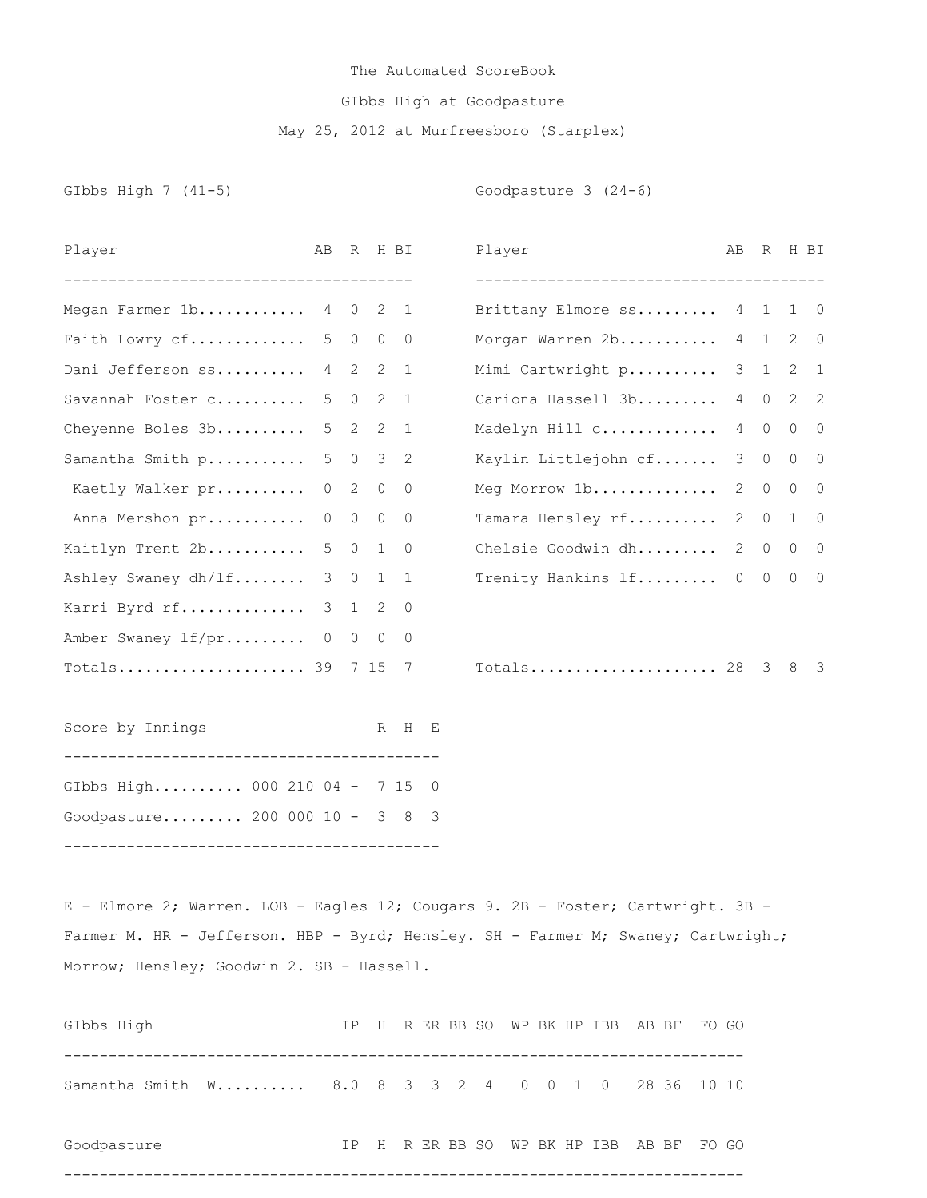## The Automated ScoreBook GIbbs High at Goodpasture May 25, 2012 at Murfreesboro (Starplex)

GIbbs High 7 (41-5) Goodpasture 3 (24-6)

| Player                                                                          | AB            |                |            | R H BI         |  | Player                                | AB             |                | R H BI                      |                         |
|---------------------------------------------------------------------------------|---------------|----------------|------------|----------------|--|---------------------------------------|----------------|----------------|-----------------------------|-------------------------|
| _____________________________________                                           |               |                |            |                |  | ------------------------------------- |                |                |                             |                         |
| Megan Farmer 1b 4 0                                                             |               |                |            | $2 \quad 1$    |  | Brittany Elmore ss 4 1                |                |                | $1 \quad 0$                 |                         |
| Faith Lowry cf                                                                  | 5             | $\overline{0}$ |            | $0\quad 0$     |  | Morgan Warren 2b                      |                | 4 1            |                             | $2\quad 0$              |
| Dani Jefferson ss                                                               | $4\quad 2$    |                | 2          | $\overline{1}$ |  | Mimi Cartwright p                     |                | $3\quad1$      | $2 \quad 1$                 |                         |
| Savannah Foster c                                                               | 5             | $\overline{0}$ |            | $2 \quad 1$    |  | Cariona Hassell 3b                    |                |                | 4 0 2 2                     |                         |
| Cheyenne Boles 3b                                                               | 5             | $\overline{2}$ |            | $2 \quad 1$    |  | Madelyn Hill c                        | 4              | $\circ$        | $0\qquad 0$                 |                         |
| Samantha Smith p                                                                | 5             | $\overline{0}$ |            | 3 <sup>2</sup> |  | Kaylin Littlejohn cf                  | 3              | $\overline{0}$ | $0\quad 0$                  |                         |
| Kaetly Walker pr                                                                | $\circ$       | $\overline{2}$ | $\circ$    | $\overline{0}$ |  | Meg Morrow 1b                         | $\mathbf{2}$   | $\circ$        | $\circ$                     | $\overline{0}$          |
| Anna Mershon pr                                                                 | 0             | $\overline{0}$ | $\circ$    | $\bigcirc$     |  | Tamara Hensley rf                     | $\overline{2}$ | $\circ$        | $\mathbf{1}$                | $\overline{0}$          |
| Kaitlyn Trent 2b                                                                | 5             | $\overline{0}$ |            | $1 \quad 0$    |  | Chelsie Goodwin dh                    | $\mathbf{2}$   | $\overline{0}$ | $0\quad 0$                  |                         |
| Ashley Swaney dh/lf                                                             | 3             | $\overline{0}$ | 1          | $\overline{1}$ |  | Trenity Hankins lf                    |                |                | $0\qquad 0\qquad 0\qquad 0$ |                         |
| Karri Byrd rf                                                                   | $\mathcal{S}$ | 1              | 2          | $\overline{0}$ |  |                                       |                |                |                             |                         |
| Amber Swaney lf/pr 0                                                            |               |                | $0\quad 0$ | 0              |  |                                       |                |                |                             |                         |
| Totals 39 $7 15$                                                                |               |                |            | 7              |  | Totals 28                             |                | 3              | 8                           | $\overline{\mathbf{3}}$ |
| Score by Innings                                                                |               |                |            | R H E          |  |                                       |                |                |                             |                         |
| GIbbs High 000 210 04 - 7 15 0                                                  |               |                |            |                |  |                                       |                |                |                             |                         |
| Goodpasture 200 000 10 - 3 8 3                                                  |               |                |            |                |  |                                       |                |                |                             |                         |
|                                                                                 |               |                |            |                |  |                                       |                |                |                             |                         |
| E - Elmore 2; Warren. LOB - Eagles 12; Cougars 9. 2B - Foster; Cartwright. 3B - |               |                |            |                |  |                                       |                |                |                             |                         |

Farmer M. HR - Jefferson. HBP - Byrd; Hensley. SH - Farmer M; Swaney; Cartwright; Morrow; Hensley; Goodwin 2. SB - Hassell.

| GIbbs High                                         |  |  |  |  | IP H R ER BB SO WP BK HP IBB AB BF FO GO |  |  |
|----------------------------------------------------|--|--|--|--|------------------------------------------|--|--|
| Samantha Smith W 8.0 8 3 3 2 4 0 0 1 0 28 36 10 10 |  |  |  |  |                                          |  |  |
| Goodpasture                                        |  |  |  |  | IP H R ER BB SO WP BK HP IBB AB BF FO GO |  |  |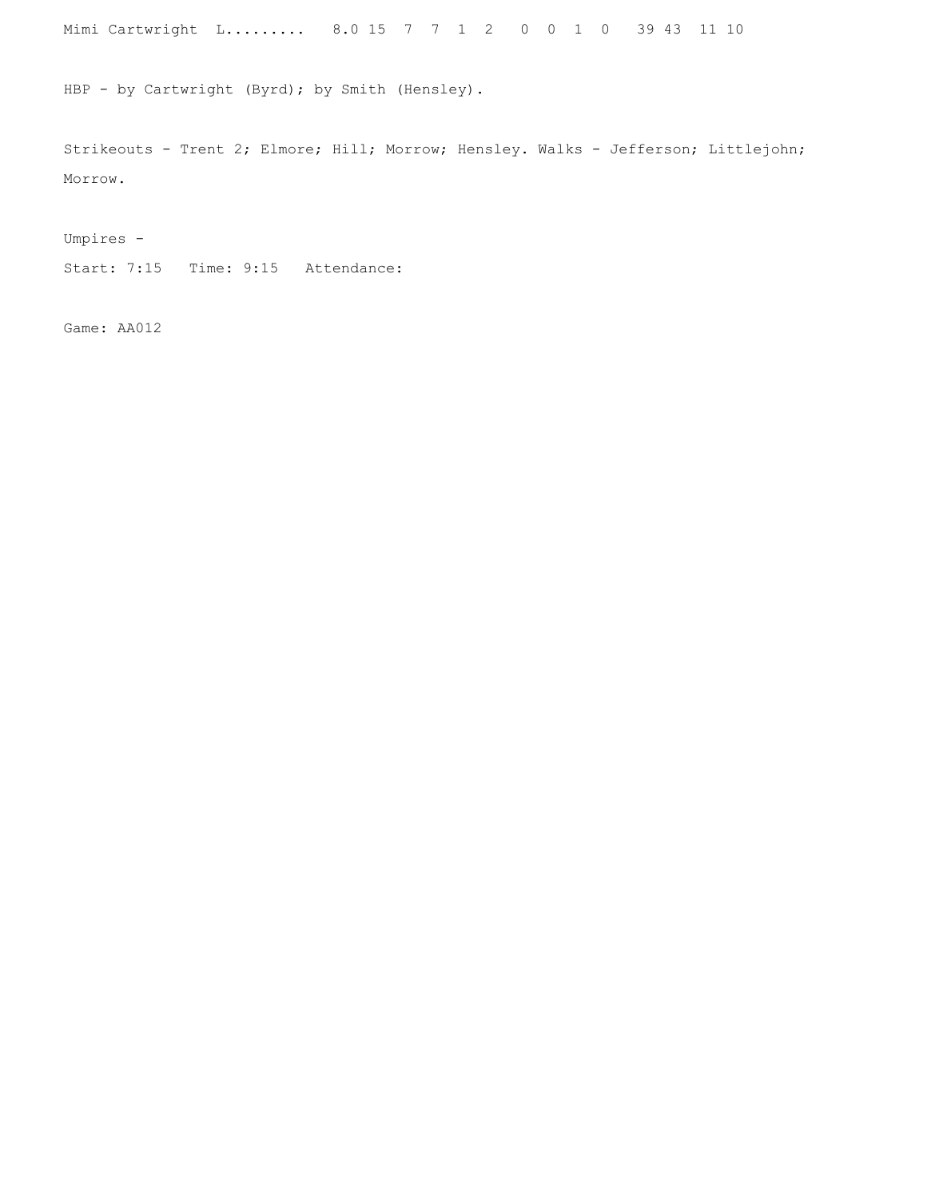Mimi Cartwright L......... 8.0 15 7 7 1 2 0 0 1 0 39 43 11 10

HBP - by Cartwright (Byrd); by Smith (Hensley).

Strikeouts - Trent 2; Elmore; Hill; Morrow; Hensley. Walks - Jefferson; Littlejohn; Morrow.

Umpires -

Start: 7:15 Time: 9:15 Attendance:

Game: AA012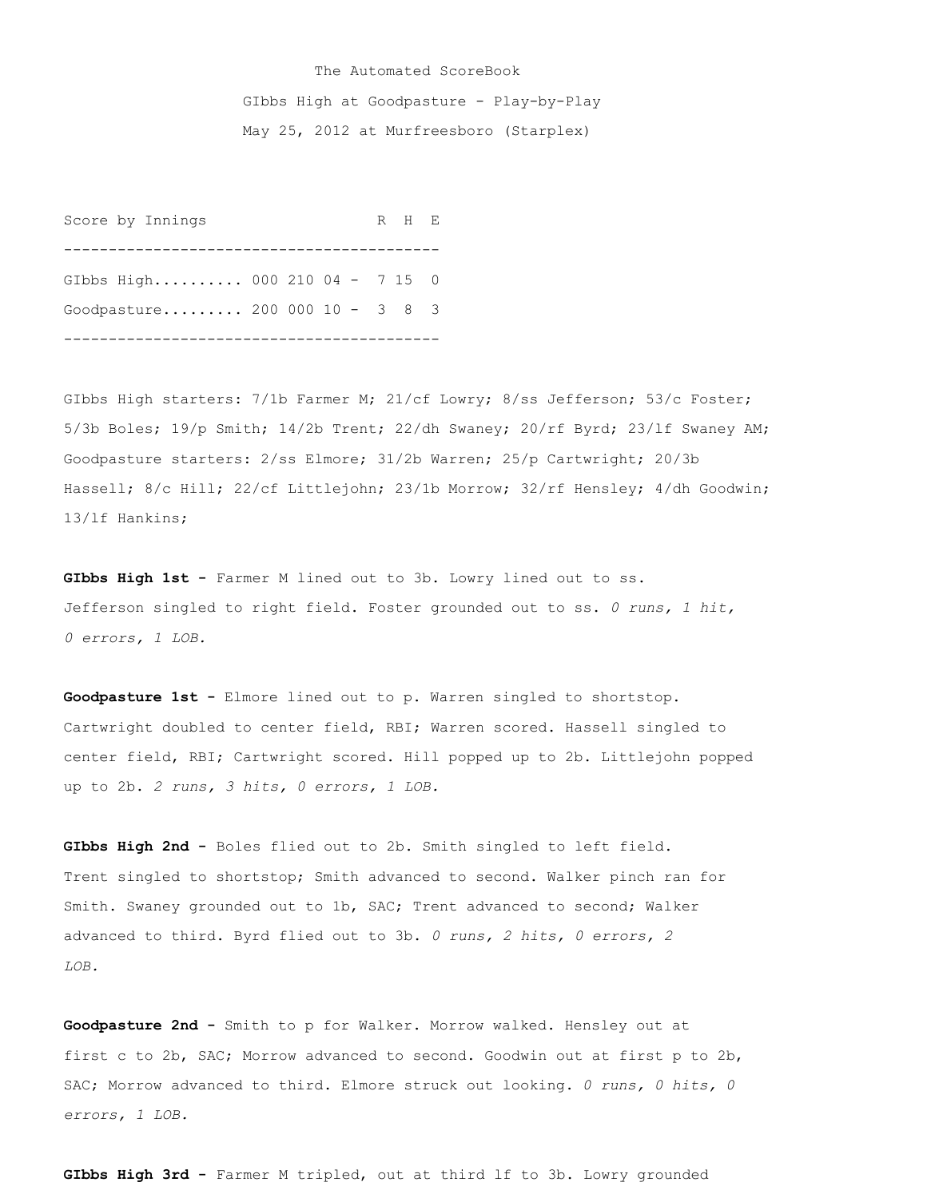## The Automated ScoreBook GIbbs High at Goodpasture - Play-by-Play May 25, 2012 at Murfreesboro (Starplex)

Score by Innings R H E ------------------------------------------ GIbbs High.......... 000 210 04 - 7 15 0 Goodpasture......... 200 000 10 - 3 8 3 ------------------------------------------

GIbbs High starters: 7/1b Farmer M; 21/cf Lowry; 8/ss Jefferson; 53/c Foster; 5/3b Boles; 19/p Smith; 14/2b Trent; 22/dh Swaney; 20/rf Byrd; 23/lf Swaney AM; Goodpasture starters: 2/ss Elmore; 31/2b Warren; 25/p Cartwright; 20/3b Hassell; 8/c Hill; 22/cf Littlejohn; 23/1b Morrow; 32/rf Hensley; 4/dh Goodwin; 13/lf Hankins;

**GIbbs High 1st -** Farmer M lined out to 3b. Lowry lined out to ss. Jefferson singled to right field. Foster grounded out to ss. *0 runs, 1 hit, 0 errors, 1 LOB.*

**Goodpasture 1st -** Elmore lined out to p. Warren singled to shortstop. Cartwright doubled to center field, RBI; Warren scored. Hassell singled to center field, RBI; Cartwright scored. Hill popped up to 2b. Littlejohn popped up to 2b. *2 runs, 3 hits, 0 errors, 1 LOB.*

**GIbbs High 2nd -** Boles flied out to 2b. Smith singled to left field. Trent singled to shortstop; Smith advanced to second. Walker pinch ran for Smith. Swaney grounded out to 1b, SAC; Trent advanced to second; Walker advanced to third. Byrd flied out to 3b. *0 runs, 2 hits, 0 errors, 2 LOB.*

**Goodpasture 2nd -** Smith to p for Walker. Morrow walked. Hensley out at first c to 2b, SAC; Morrow advanced to second. Goodwin out at first p to 2b, SAC; Morrow advanced to third. Elmore struck out looking. *0 runs, 0 hits, 0 errors, 1 LOB.*

GIbbs High 3rd - Farmer M tripled, out at third lf to 3b. Lowry grounded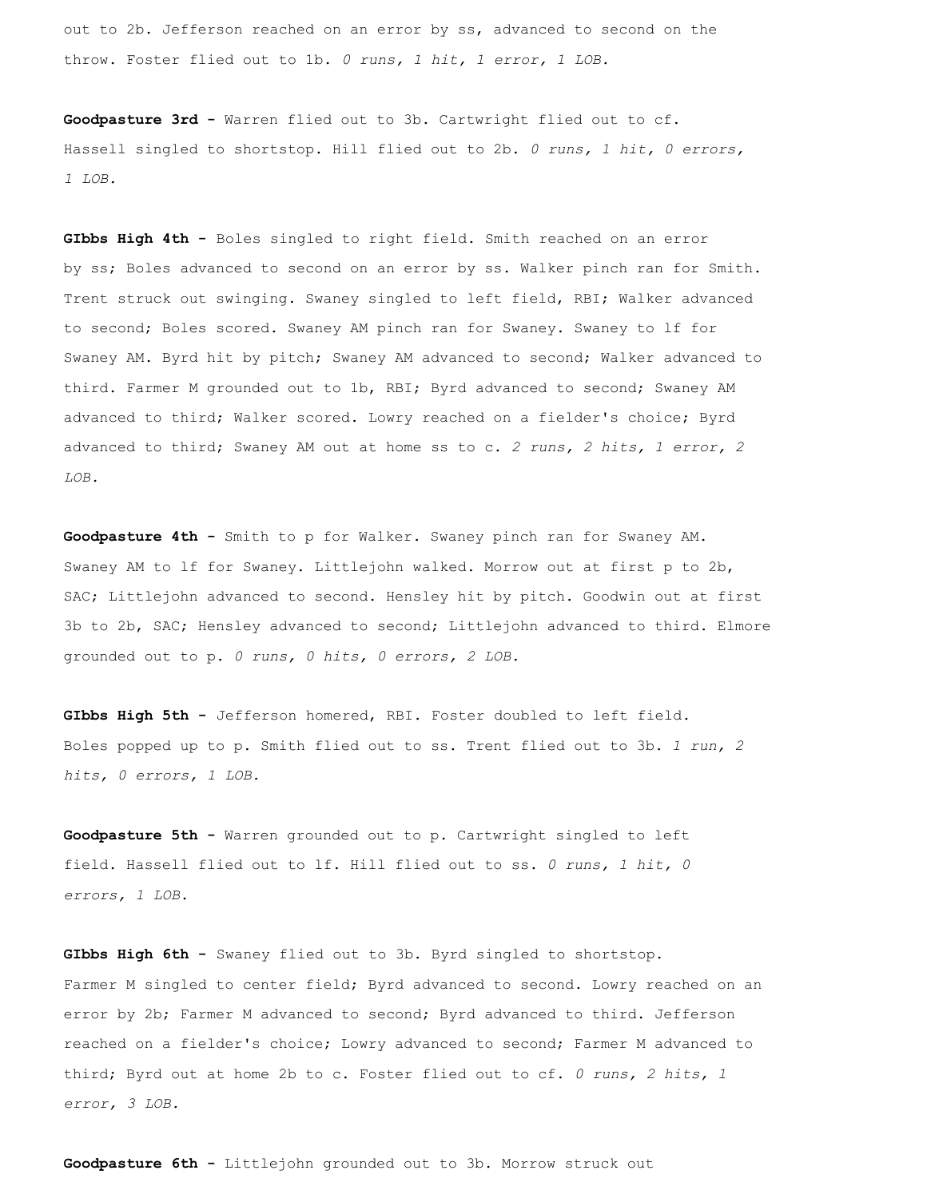out to 2b. Jefferson reached on an error by ss, advanced to second on the throw. Foster flied out to 1b. *0 runs, 1 hit, 1 error, 1 LOB.*

**Goodpasture 3rd -** Warren flied out to 3b. Cartwright flied out to cf. Hassell singled to shortstop. Hill flied out to 2b. *0 runs, 1 hit, 0 errors, 1 LOB.*

**GIbbs High 4th -** Boles singled to right field. Smith reached on an error by ss; Boles advanced to second on an error by ss. Walker pinch ran for Smith. Trent struck out swinging. Swaney singled to left field, RBI; Walker advanced to second; Boles scored. Swaney AM pinch ran for Swaney. Swaney to lf for Swaney AM. Byrd hit by pitch; Swaney AM advanced to second; Walker advanced to third. Farmer M grounded out to 1b, RBI; Byrd advanced to second; Swaney AM advanced to third; Walker scored. Lowry reached on a fielder's choice; Byrd advanced to third; Swaney AM out at home ss to c. *2 runs, 2 hits, 1 error, 2 LOB.*

**Goodpasture 4th -** Smith to p for Walker. Swaney pinch ran for Swaney AM. Swaney AM to lf for Swaney. Littlejohn walked. Morrow out at first p to 2b, SAC; Littlejohn advanced to second. Hensley hit by pitch. Goodwin out at first 3b to 2b, SAC; Hensley advanced to second; Littlejohn advanced to third. Elmore grounded out to p. *0 runs, 0 hits, 0 errors, 2 LOB.*

**GIbbs High 5th -** Jefferson homered, RBI. Foster doubled to left field. Boles popped up to p. Smith flied out to ss. Trent flied out to 3b. *1 run, 2 hits, 0 errors, 1 LOB.*

**Goodpasture 5th -** Warren grounded out to p. Cartwright singled to left field. Hassell flied out to lf. Hill flied out to ss. *0 runs, 1 hit, 0 errors, 1 LOB.*

**GIbbs High 6th -** Swaney flied out to 3b. Byrd singled to shortstop. Farmer M singled to center field; Byrd advanced to second. Lowry reached on an error by 2b; Farmer M advanced to second; Byrd advanced to third. Jefferson reached on a fielder's choice; Lowry advanced to second; Farmer M advanced to third; Byrd out at home 2b to c. Foster flied out to cf. *0 runs, 2 hits, 1 error, 3 LOB.*

**Goodpasture 6th -** Littlejohn grounded out to 3b. Morrow struck out